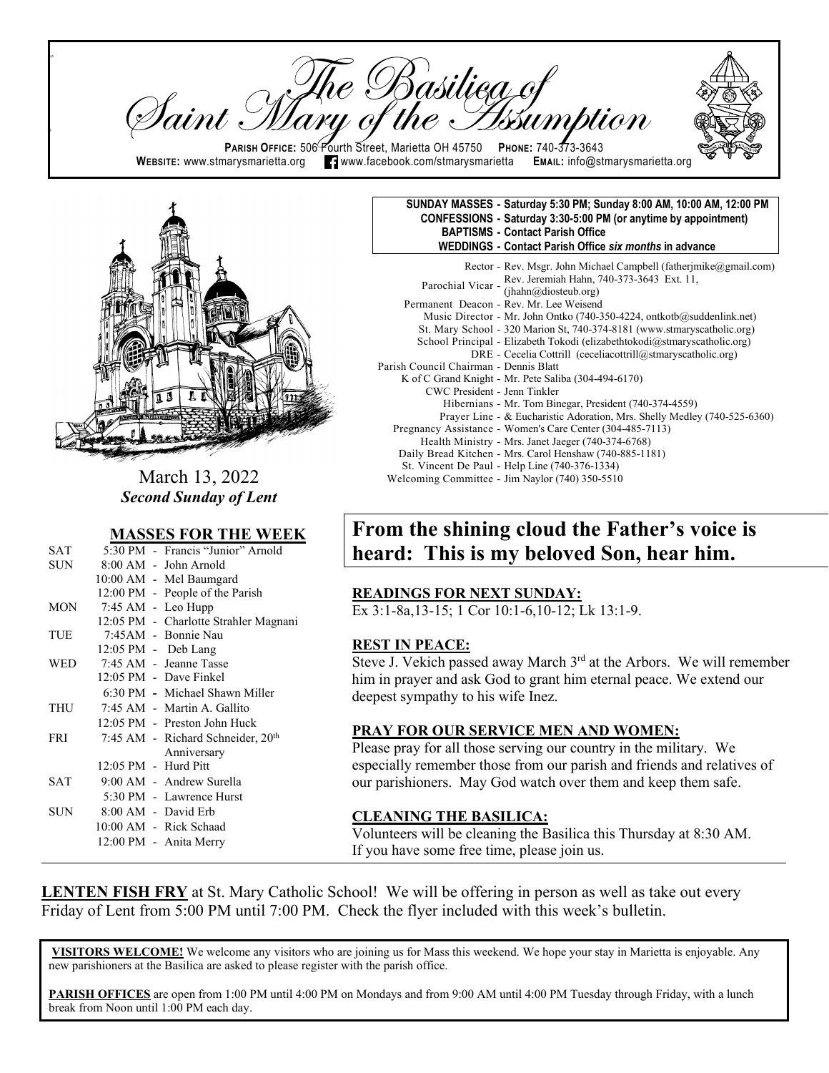re Basilieg of<br>y of the Issum <sup>I</sup>aint : **PARISH OFFICE:** 506 Fourth Street, Marietta OH 45750 **PHONE: 740-373-3643**<br>narysmarietta.org **PH** www.facebook.com/stmarysmarietta EMAIL: info@stmarysmarietta.org **WEBSITE:** www.stmarysmarietta.org **T** www.facebook.com/stmarysmarietta



 $\mathsf{p}$ 

ll

March 13, 2022 *Second Sunday of Lent*

#### **MASSES FOR THE WEEK**

| <b>SAT</b> |                          | 5:30 PM - Francis "Junior" Arnold     |
|------------|--------------------------|---------------------------------------|
| SUN        |                          | $8:00$ AM - John Arnold               |
|            |                          | 10:00 AM - Mel Baumgard               |
|            |                          | 12:00 PM - People of the Parish       |
| <b>MON</b> |                          | 7:45 AM - Leo Hupp                    |
|            |                          | 12:05 PM - Charlotte Strahler Magnani |
| TUE        |                          | 7:45AM - Bonnie Nau                   |
|            |                          | 12:05 PM - Deb Lang                   |
| WED        |                          | 7:45 AM - Jeanne Tasse                |
|            |                          | 12:05 PM - Dave Finkel                |
|            |                          | 6:30 PM - Michael Shawn Miller        |
| THU        |                          | 7:45 AM - Martin A. Gallito           |
|            |                          | 12:05 PM - Preston John Huck          |
| <b>FRI</b> |                          | 7:45 AM - Richard Schneider, 20th     |
|            |                          | Anniversary                           |
|            | $12:05$ PM $-$ Hurd Pitt |                                       |
| <b>SAT</b> |                          | 9:00 AM - Andrew Surella              |
|            |                          | 5:30 PM - Lawrence Hurst              |
| SUN.       |                          | 8:00 AM - David Erb                   |
|            |                          | 10:00 AM - Rick Schaad                |
|            |                          | 12:00 PM - Anita Merry                |
|            |                          |                                       |

| SUNDAY MASSES - Saturday 5:30 PM; Sunday 8:00 AM, 10:00 AM, 12:00 PM |
|----------------------------------------------------------------------|
| CONFESSIONS - Saturday 3:30-5:00 PM (or anytime by appointment)      |
| <b>BAPTISMS - Contact Parish Office</b>                              |
| WEDDINGS - Contact Parish Office six months in advance               |
|                                                                      |

|                                        | Rector - Rev. Msgr. John Michael Campbell (fatherimike@gmail.com)                   |
|----------------------------------------|-------------------------------------------------------------------------------------|
|                                        |                                                                                     |
|                                        | Parochial Vicar - Rev. Jeremiah Hahn, 740-373-3643 Ext. 11,<br>(jhahn@diosteub.org) |
|                                        | Permanent Deacon - Rev. Mr. Lee Weisend                                             |
|                                        | Music Director - Mr. John Ontko (740-350-4224, ontkotb $\omega$ suddenlink.net)     |
|                                        | St. Mary School - 320 Marion St, 740-374-8181 (www.stmaryscatholic.org)             |
|                                        | School Principal - Elizabeth Tokodi (elizabethtokodi@stmaryscatholic.org)           |
|                                        | DRE - Cecelia Cottrill (ceceliacottrill@stmaryscatholic.org)                        |
| Parish Council Chairman - Dennis Blatt |                                                                                     |
|                                        | K of C Grand Knight - Mr. Pete Saliba (304-494-6170)                                |
| CWC President - Jenn Tinkler           |                                                                                     |
|                                        | Hibernians - Mr. Tom Binegar, President (740-374-4559)                              |
|                                        | Prayer Line - & Eucharistic Adoration, Mrs. Shelly Medley (740-525-6360)            |
|                                        | Pregnancy Assistance - Women's Care Center (304-485-7113)                           |
|                                        | Health Ministry - Mrs. Janet Jaeger (740-374-6768)                                  |
|                                        | Daily Bread Kitchen - Mrs. Carol Henshaw (740-885-1181)                             |
|                                        | St. Vincent De Paul - Help Line (740-376-1334)                                      |
|                                        | Welcoming Committee - Jim Naylor (740) 350-5510                                     |

# **From the shining cloud the Father's voice is heard: This is my beloved Son, hear him.**

#### **READINGS FOR NEXT SUNDAY:**

Ex 3:1-8a,13-15; 1 Cor 10:1-6,10-12; Lk 13:1-9.

#### **REST IN PEACE:**

Steve J. Vekich passed away March  $3<sup>rd</sup>$  at the Arbors. We will remember him in prayer and ask God to grant him eternal peace. We extend our deepest sympathy to his wife Inez.

#### **PRAY FOR OUR SERVICE MEN AND WOMEN:**

Please pray for all those serving our country in the military. We especially remember those from our parish and friends and relatives of our parishioners. May God watch over them and keep them safe.

### **CLEANING THE BASILICA:**

Volunteers will be cleaning the Basilica this Thursday at 8:30 AM. If you have some free time, please join us.

**LENTEN FISH FRY** at St. Mary Catholic School! We will be offering in person as well as take out every Friday of Lent from 5:00 PM until 7:00 PM. Check the flyer included with this week's bulletin.

**VISITORS WELCOME!** We welcome any visitors who are joining us for Mass this weekend. We hope your stay in Marietta is enjoyable. Any new parishioners at the Basilica are asked to please register with the parish office.

**PARISH OFFICES** are open from 1:00 PM until 4:00 PM on Mondays and from 9:00 AM until 4:00 PM Tuesday through Friday, with a lunch break from Noon until 1:00 PM each day.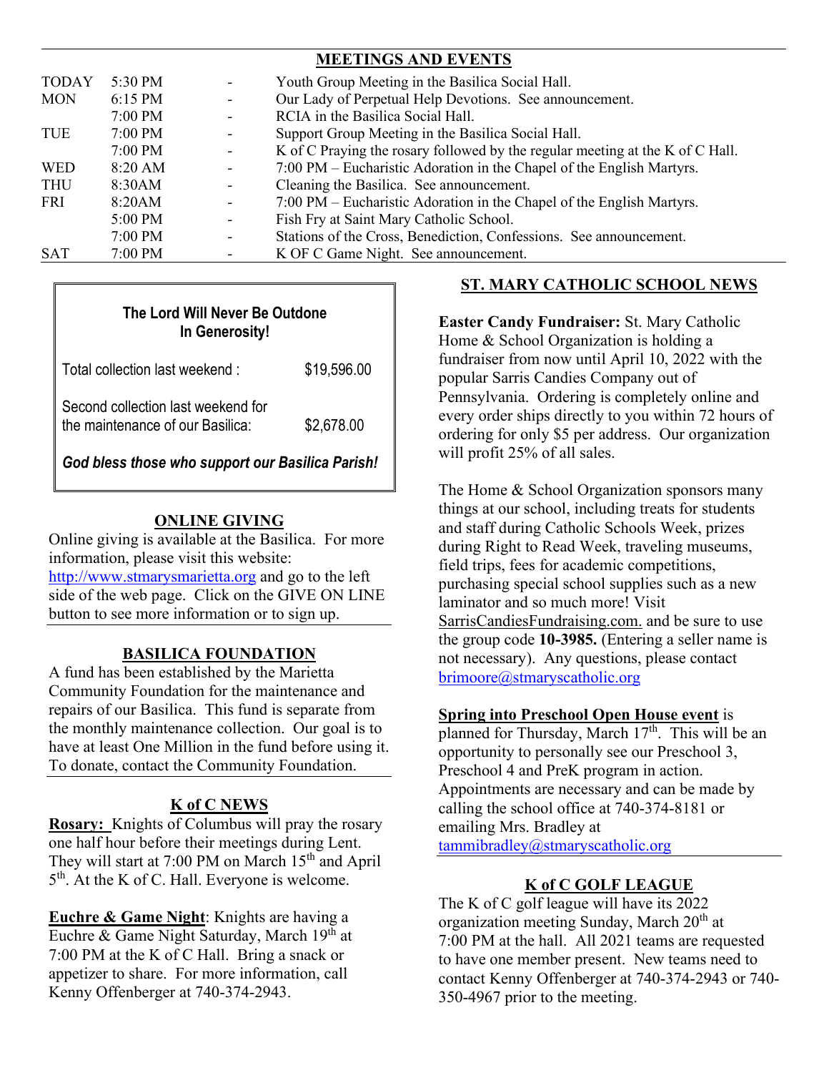|              |           |                          | <b>MEETINGS AND EVENTS</b>                                                    |
|--------------|-----------|--------------------------|-------------------------------------------------------------------------------|
| <b>TODAY</b> | 5:30 PM   |                          | Youth Group Meeting in the Basilica Social Hall.                              |
| <b>MON</b>   | 6:15 PM   |                          | Our Lady of Perpetual Help Devotions. See announcement.                       |
|              | 7:00 PM   |                          | RCIA in the Basilica Social Hall.                                             |
| TUE          | $7:00$ PM |                          | Support Group Meeting in the Basilica Social Hall.                            |
|              | 7:00 PM   |                          | K of C Praying the rosary followed by the regular meeting at the K of C Hall. |
| <b>WED</b>   | 8:20 AM   |                          | 7:00 PM – Eucharistic Adoration in the Chapel of the English Martyrs.         |
| THU          | 8:30AM    |                          | Cleaning the Basilica. See announcement.                                      |
| <b>FRI</b>   | 8:20AM    |                          | 7:00 PM – Eucharistic Adoration in the Chapel of the English Martyrs.         |
|              | $5:00$ PM |                          | Fish Fry at Saint Mary Catholic School.                                       |
|              | 7:00 PM   | $\overline{\phantom{0}}$ | Stations of the Cross, Benediction, Confessions. See announcement.            |
| <b>SAT</b>   | $7:00$ PM |                          | K OF C Game Night. See announcement.                                          |

| The Lord Will Never Be Outdone<br>In Generosity!                       |             |  |  |  |  |
|------------------------------------------------------------------------|-------------|--|--|--|--|
| Total collection last weekend:                                         | \$19,596.00 |  |  |  |  |
| Second collection last weekend for<br>the maintenance of our Basilica: | \$2,678.00  |  |  |  |  |
| God bless those who support our Basilica Parish!                       |             |  |  |  |  |

## **ONLINE GIVING**

Online giving is available at the Basilica. For more information, please visit this website: [http://www.stmarysmarietta.org](http://www.stmarysmarietta.org/) and go to the left side of the web page. Click on the GIVE ON LINE button to see more information or to sign up.

# **BASILICA FOUNDATION**

A fund has been established by the Marietta Community Foundation for the maintenance and repairs of our Basilica. This fund is separate from the monthly maintenance collection. Our goal is to have at least One Million in the fund before using it. To donate, contact the Community Foundation.

# **K of C NEWS**

**Rosary:** Knights of Columbus will pray the rosary one half hour before their meetings during Lent. They will start at 7:00 PM on March  $15<sup>th</sup>$  and April 5<sup>th</sup>. At the K of C. Hall. Everyone is welcome.

**Euchre & Game Night**: Knights are having a Euchre & Game Night Saturday, March 19<sup>th</sup> at 7:00 PM at the K of C Hall. Bring a snack or appetizer to share. For more information, call Kenny Offenberger at 740-374-2943.

# **ST. MARY CATHOLIC SCHOOL NEWS**

**Easter Candy Fundraiser:** St. Mary Catholic Home & School Organization is holding a fundraiser from now until April 10, 2022 with the popular Sarris Candies Company out of Pennsylvania. Ordering is completely online and every order ships directly to you within 72 hours of ordering for only \$5 per address. Our organization will profit 25% of all sales.

The Home & School Organization sponsors many things at our school, including treats for students and staff during Catholic Schools Week, prizes during Right to Read Week, traveling museums, field trips, fees for academic competitions, purchasing special school supplies such as a new laminator and so much more! Visit SarrisCandiesFundraising.com. and be sure to use the group code **10-3985.** (Entering a seller name is not necessary). Any questions, please contact [brimoore@stmaryscatholic.org](mailto:brimoore@stmaryscatholic.org)

### **Spring into Preschool Open House event** is

planned for Thursday, March 17<sup>th</sup>. This will be an opportunity to personally see our Preschool 3, Preschool 4 and PreK program in action. Appointments are necessary and can be made by calling the school office at 740-374-8181 or emailing Mrs. Bradley at [tammibradley@stmaryscatholic.org](mailto:tammibradley@stmaryscatholic.org)

# **K of C GOLF LEAGUE**

The K of C golf league will have its 2022 organization meeting Sunday, March  $20<sup>th</sup>$  at 7:00 PM at the hall. All 2021 teams are requested to have one member present. New teams need to contact Kenny Offenberger at 740-374-2943 or 740- 350-4967 prior to the meeting.